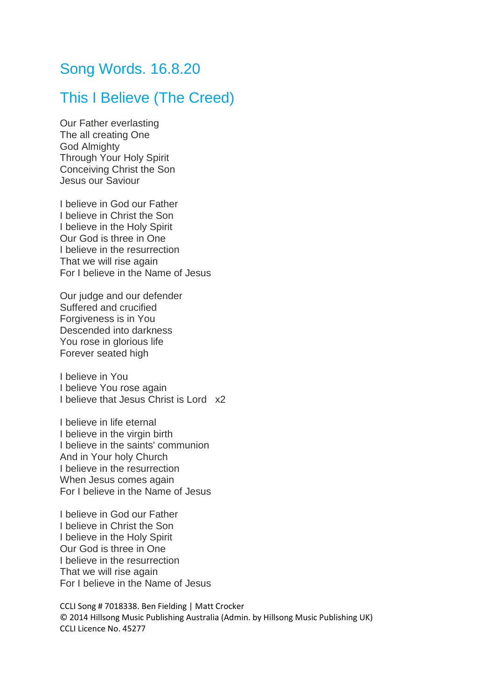## Song Words. 16.8.20

## This I Believe (The Creed)

Our Father everlasting The all creating One God Almighty Through Your Holy Spirit Conceiving Christ the Son Jesus our Saviour

I believe in God our Father I believe in Christ the Son I believe in the Holy Spirit Our God is three in One I believe in the resurrection That we will rise again For I believe in the Name of Jesus

Our judge and our defender Suffered and crucified Forgiveness is in You Descended into darkness You rose in glorious life Forever seated high

I believe in You I believe You rose again I believe that Jesus Christ is Lord x2

I believe in life eternal I believe in the virgin birth I believe in the saints' communion And in Your holy Church I believe in the resurrection When Jesus comes again For I believe in the Name of Jesus

I believe in God our Father I believe in Christ the Son I believe in the Holy Spirit Our God is three in One I believe in the resurrection That we will rise again For I believe in the Name of Jesus

CCLI Song # 7018338. Ben Fielding | Matt Crocker © 2014 Hillsong Music Publishing Australia (Admin. by Hillsong Music Publishing UK) CCLI Licence No. 45277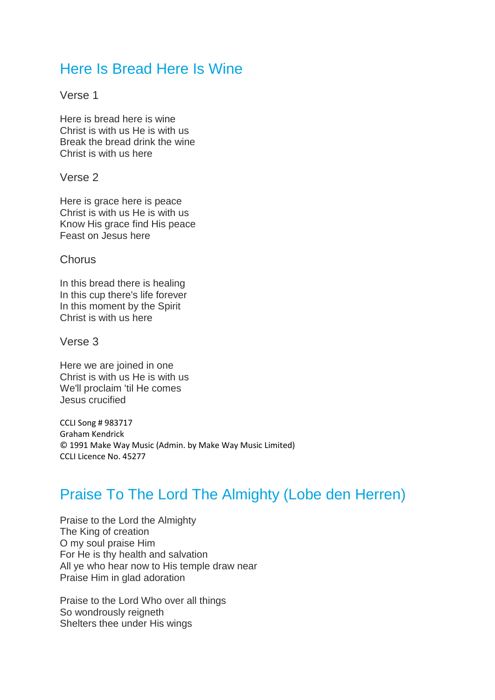## Here Is Bread Here Is Wine

Verse 1

Here is bread here is wine Christ is with us He is with us Break the bread drink the wine Christ is with us here

Verse 2

Here is grace here is peace Christ is with us He is with us Know His grace find His peace Feast on Jesus here

**Chorus** 

In this bread there is healing In this cup there's life forever In this moment by the Spirit Christ is with us here

Verse 3

Here we are joined in one Christ is with us He is with us We'll proclaim 'til He comes Jesus crucified

CCLI Song # 983717 Graham Kendrick © 1991 Make Way Music (Admin. by Make Way Music Limited) CCLI Licence No. 45277

## Praise To The Lord The Almighty (Lobe den Herren)

Praise to the Lord the Almighty The King of creation O my soul praise Him For He is thy health and salvation All ye who hear now to His temple draw near Praise Him in glad adoration

Praise to the Lord Who over all things So wondrously reigneth Shelters thee under His wings